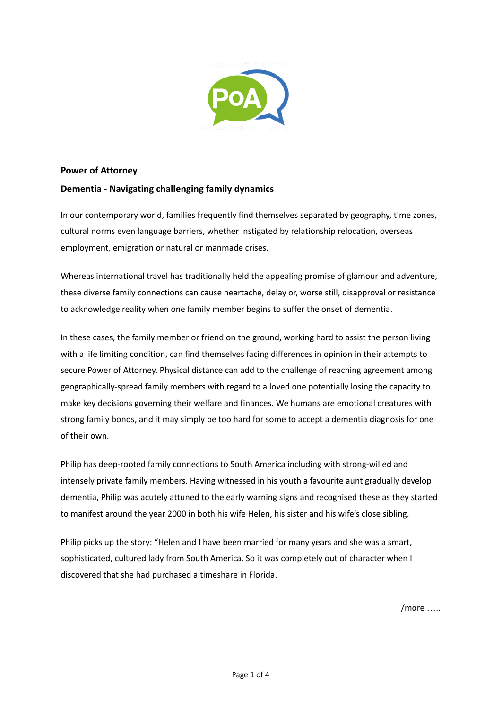

## **Power of Attorney**

## **Dementia - Navigating challenging family dynamics**

In our contemporary world, families frequently find themselves separated by geography, time zones, cultural norms even language barriers, whether instigated by relationship relocation, overseas employment, emigration or natural or manmade crises.

Whereas international travel has traditionally held the appealing promise of glamour and adventure, these diverse family connections can cause heartache, delay or, worse still, disapproval or resistance to acknowledge reality when one family member begins to suffer the onset of dementia.

In these cases, the family member or friend on the ground, working hard to assist the person living with a life limiting condition, can find themselves facing differences in opinion in their attempts to secure Power of Attorney. Physical distance can add to the challenge of reaching agreement among geographically-spread family members with regard to a loved one potentially losing the capacity to make key decisions governing their welfare and finances. We humans are emotional creatures with strong family bonds, and it may simply be too hard for some to accept a dementia diagnosis for one of their own.

Philip has deep-rooted family connections to South America including with strong-willed and intensely private family members. Having witnessed in his youth a favourite aunt gradually develop dementia, Philip was acutely attuned to the early warning signs and recognised these as they started to manifest around the year 2000 in both his wife Helen, his sister and his wife's close sibling.

Philip picks up the story: "Helen and I have been married for many years and she was a smart, sophisticated, cultured lady from South America. So it was completely out of character when I discovered that she had purchased a timeshare in Florida.

 $/more...$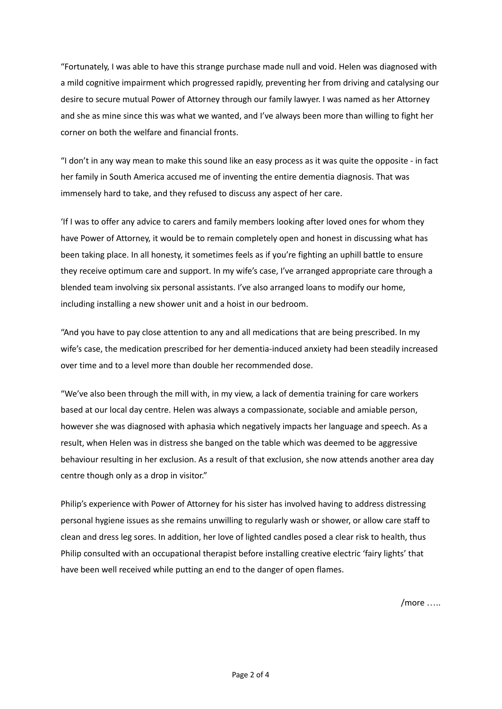"Fortunately, I was able to have this strange purchase made null and void. Helen was diagnosed with a mild cognitive impairment which progressed rapidly, preventing her from driving and catalysing our desire to secure mutual Power of Attorney through our family lawyer. I was named as her Attorney and she as mine since this was what we wanted, and I've always been more than willing to fight her corner on both the welfare and financial fronts.

"I don't in any way mean to make this sound like an easy process as it was quite the opposite - in fact her family in South America accused me of inventing the entire dementia diagnosis. That was immensely hard to take, and they refused to discuss any aspect of her care.

'If I was to offer any advice to carers and family members looking after loved ones for whom they have Power of Attorney, it would be to remain completely open and honest in discussing what has been taking place. In all honesty, it sometimes feels as if you're fighting an uphill battle to ensure they receive optimum care and support. In my wife's case, I've arranged appropriate care through a blended team involving six personal assistants. I've also arranged loans to modify our home, including installing a new shower unit and a hoist in our bedroom.

"And you have to pay close attention to any and all medications that are being prescribed. In my wife's case, the medication prescribed for her dementia-induced anxiety had been steadily increased over time and to a level more than double her recommended dose.

"We've also been through the mill with, in my view, a lack of dementia training for care workers based at our local day centre. Helen was always a compassionate, sociable and amiable person, however she was diagnosed with aphasia which negatively impacts her language and speech. As a result, when Helen was in distress she banged on the table which was deemed to be aggressive behaviour resulting in her exclusion. As a result of that exclusion, she now attends another area day centre though only as a drop in visitor."

Philip's experience with Power of Attorney for his sister has involved having to address distressing personal hygiene issues as she remains unwilling to regularly wash or shower, or allow care staff to clean and dress leg sores. In addition, her love of lighted candles posed a clear risk to health, thus Philip consulted with an occupational therapist before installing creative electric 'fairy lights' that have been well received while putting an end to the danger of open flames.

/more …..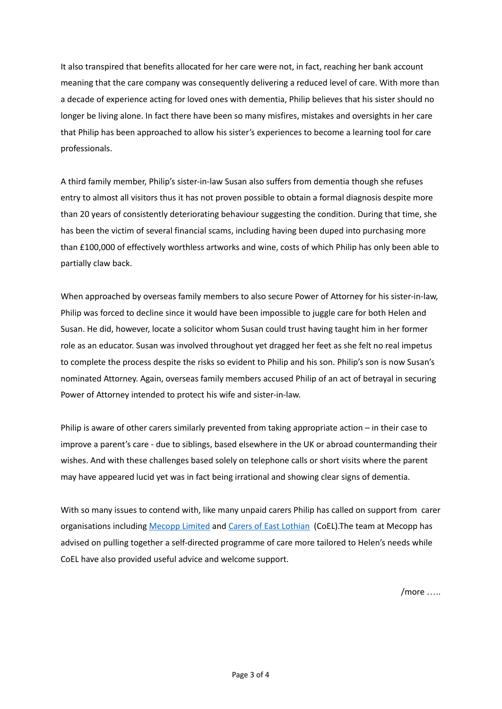It also transpired that benefits allocated for her care were not, in fact, reaching her bank account meaning that the care company was consequently delivering a reduced level of care. With more than a decade of experience acting for loved ones with dementia, Philip believes that his sister should no longer be living alone. In fact there have been so many misfires, mistakes and oversights in her care that Philip has been approached to allow his sister's experiences to become a learning tool for care professionals.

A third family member, Philip's sister-in-law Susan also suffers from dementia though she refuses entry to almost all visitors thus it has not proven possible to obtain a formal diagnosis despite more than 20 years of consistently deteriorating behaviour suggesting the condition. During that time, she has been the victim of several financial scams, including having been duped into purchasing more than £100,000 of effectively worthless artworks and wine, costs of which Philip has only been able to partially claw back.

When approached by overseas family members to also secure Power of Attorney for his sister-in-law, Philip was forced to decline since it would have been impossible to juggle care for both Helen and Susan. He did, however, locate a solicitor whom Susan could trust having taught him in her former role as an educator. Susan was involved throughout yet dragged her feet as she felt no real impetus to complete the process despite the risks so evident to Philip and his son. Philip's son is now Susan's nominated Attorney. Again, overseas family members accused Philip of an act of betrayal in securing Power of Attorney intended to protect his wife and sister-in-law.

Philip is aware of other carers similarly prevented from taking appropriate action – in their case to improve a parent's care - due to siblings, based elsewhere in the UK or abroad countermanding their wishes. And with these challenges based solely on telephone calls or short visits where the parent may have appeared lucid yet was in fact being irrational and showing clear signs of dementia.

With so many issues to contend with, like many unpaid carers Philip has called on support from carer organisations including [Mecopp](https://www.inspiringscotland.org.uk/charities/mecopp/) Limited and Carers of East [Lothian](https://coel.org.uk/) (CoEL). The team at Mecopp has advised on pulling together a self-directed programme of care more tailored to Helen's needs while CoEL have also provided useful advice and welcome support.

 $/more$  .....